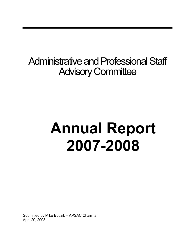## Administrative and Professional Staff **Advisory Committee**

# **Annual Report 2007-2008**

Submitted by Mike Budzik – APSAC Chairman April 29, 2008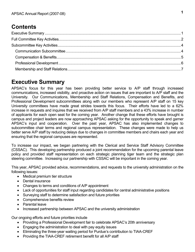## **Contents**

## <span id="page-2-0"></span>**Executive Summary**

APSAC's focus for this year has been providing better service to A/P staff through increased communications, increased visibility, and proactive action on issues that are important to A/P staff and the University. Our Communications, Membership and Staff Relations, Compensation and Benefits, and Professional Development subcommittees along with our members who represent A/P staff on 15 key University committees have made great strides towards this focus. Their efforts have led to a 62% increase in requests and inquires that we received from A/P staff members and a 43% increase in number of applicants for each open seat for the coming year. Another change that these efforts have brought is campus and project leaders are now approaching APSAC asking for the opportunity to speak and garner APSAC's input and cooperation. Over the past year, APSAC has also implemented changes to subcommittee chair terms and regional campus representation. These changes were made to help us better serve A/P staff by reducing delays due to changes in committee members and chairs each year and ensuring that the regional campuses are represented.

To increase our impact, we began partnering with the Clerical and Service Staff Advisory Committee (CSSAC). This developing partnership produced a joint recommendation for the upcoming parental leave policy and provided staff representation on each strategic planning tiger team and the strategic plan steering committee. Increasing our partnership with CSSAC will be important in the coming year.

This year, APSAC provided advice, recommendations, and requests to the university administration on the following issues:

- Medical premium tier structure
- Dental insurance
- Changes to terms and conditions of A/P appointment
- Lack of opportunities for staff input regarding candidates for central administrative positions
- Surveying staff to determine satisfaction and future priorities
- Comprehensive benefits review
- Parental leave
- Increased partnership between APSAC and the university administration

Our ongoing efforts and future priorities include

- Providing a Professional Development fair to celebrate APSAC's 20th anniversary
- Engaging the administration to deal with pay equity issues
- Eliminating the three-year waiting period for Purdue's contribution to TIAA-CREF
- Providing the TIAA-CREF retirement benefit for all A/P staff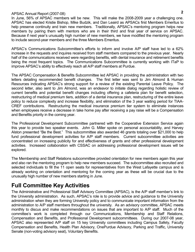In June, 56% of APSAC members will be new. This will make the 2008-2009 year a challenging one. APSAC has elected Kristie Bishop, Mike Budzik, and Dan Leaird as APSACs first Members Emeritus to help preserve continuity and train new members. Traditionally, APSAC's mentoring program helps new members by pairing them with mentors who are in their third and final year of service on APSAC. Because if next year's unusually high number of new members, we have modified the mentoring program to include second-year members and the three Members Emeritus.

APSAC's Communications Subcommittee's efforts to inform and involve A/P staff have led to a 62% increase in the requests and inquires received from staff members compared to the previous year. Nearly half of the communications received were regarding benefits, with dental insurance and retirement benefits being the most frequent topics. The Communications Subcommittee is currently working with ITaP to improve APSAC's ability to effectively reach all A/P staff members at Purdue.

The APSAC Compensation & Benefits Subcommittee led APSAC in providing the administration with two letters detailing recommended benefit changes. The first letter was sent to Jim Almond & Human Resources indicating APSAC's strong support for a review of the existing Parental Leave Policy. The second letter, also sent to Jim Almond, was an endeavor to initiate dialog regarding holistic review of current benefits and potential benefit changes including offering a cafeteria plan for benefit selection, restructuring of medical premium tiers, addition of a dental insurance plan, restructuring of the entire leave policy to reduce complexity and increase flexibility, and elimination of the 3 year waiting period for TIAA-CREF contributions. Restructuring the medical insurance premium tier system to eliminate instances when employees receive a decrease in take home pay after receiving a pay raise will be a Compensation and Benefits priority in the coming year.

The Professional Development Subcommittee partnered with the Cooperative Extension Service again this year to provide two speaker events. John G. Miller spoke on personal accountability, and Harvey Alston presented "Be the Best." This subcommittee also awarded 46 grants totaling over \$21,000 to help fund professional development activities for A/P staff members. Current subcommittee activities are concentrated on increasing publicity for and effectiveness of grants and other professional development activities. Increased collaboration with CSSAC on addressing professional development issues will be explored.

The Membership and Staff Relations subcommittee provided orientation for new members again this year and also ran the mentoring program to help new members succeed. The subcommittee also recruited and selected individuals to fill the 11 open seats for representatives from the West Lafayette campus and is already working on orientation and mentoring for the coming year as these will be crucial due to the unusually high number of new members starting in June.

## <span id="page-3-0"></span>**Full Committee Key Activities**

The Administrative and Professional Staff Advisory Committee (APSAC), is the A/P staff member's link to the University administration. As such, APSAC's role is to provide advice and guidance to the University administration when they are forming University policy and to communicate important information from the administration to A/P staff members throughout the university. As an advisory committee, APSAC meets monthly to discus and make recommendations on issues that are important to A/P staff. Much of the committee's work is completed through our Communications, Membership and Staff Relations, Compensation and Benefits, and Professional Development subcommittees. During our 2007-08 year, APSAC also represented A/P staff on 15 key University committees including Campus Safety, Faculty Compensation and Benefits, Health Plan Advisory, OnePurdue Advisory, Parking and Traffic, University Senate (non-voting advisory seat), Voluntary Benefits.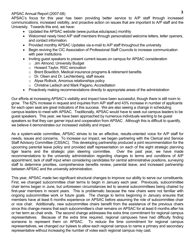APSAC's focus for this year has been providing better service to A/P staff through increased communications, increased visibility, and proactive action on issues that are important to A/P staff and the University. Towards this end, we have:

- Updated the APSAC website (www.purdue.edu/apsac) monthly
- Welcomed newly hired A/P staff members through personalized welcome letters, letter openers, and contact information.
- Provided monthly APSAC Updates via e-mail to A/P staff throughout the university
- Begin reviving the CIC Association of Professional Staff Councils to increase communication with peer institutions
- Inviting guest speakers to present current issues on campus for APSAC consideration
	- o Jim Almond, University Budget
	- o Howard Taylor, RSC renovation
	- o Brent Bowditch, Medical insurance programs & retirement benefits
	- o Dr. Olsen and Dr. Lechtenberg, staff issues
	- o Alysa Rollock, Amorous relationships policy
	- o Christine Ladisch and Mark Pagano, Accreditation
- Proactively making recommendations directly to appropriate areas of the administration

Our efforts at increasing APSAC's visibility and impact have been successful, though there is still room to grow. The 62% increase in request and inquiries from A/P staff and 43% increase in number of applicants for each open seat are great indicators of this success. We are also seeing a change in scheduling campus leaders to meet with APSAC. Traditionally, APSAC would have to seek out campus leaders to be guest speakers. This year, we have been approached by numerous individuals wanting to be guest speakers so that they can garner input and cooperation from APSAC. Although this is difficult to quantify, we believe it demonstrates our increased visibility and impact.

As a system-wide committee, APSAC strives to be an effective, results-oriented voice for A/P staff for needs, issues and concerns. To increase our impact, we began partnering with the Clerical and Service Staff Advisory Committee (CSSAC). This developing partnership produced a joint recommendation for the upcoming parental leave policy and provided staff representation on each of the eight strategic planning tiger teams and the strategic plan steering committee. Over the past year, we have made recommendations to the university administration regarding changes to terms and conditions of A/P appointment, lack of staff input when considering candidates for central administrative positions, surveying staff to determine priorities, comprehensive benefits review, parental leave, and increased partnership between APSAC and the university administration.

This year, APSAC made two significant structural changes to improve our ability to serve our constituents. First, we changed subcommittee chair terms to begin in January each year. Previously, subcommittee chair terms began in June, but unforeseen circumstances led to several subcommittees being chaired by first-year members in recent years. This is problematic because the new chairs were not familiar with ongoing subcommittee work or future goals. The change to terms beginning in January ensures that members have at least 6 months experience on APSAC before assuming the role of subcommittee chair or vice chair. Additionally, new subcommittee chairs benefit from the assistance of the previous chairs since this change means that each subcommittee's chair remains on APSAC for at least 6 months after his or her term as chair ends. The second change addresses the extra time commitment for regional campus representatives. Because of the extra time required, regional campuses have had difficulty finding someone to represent them on APSAC. To reduce the time commitment for regional campus representatives, we changed our bylaws to allow each regional campus to name a primary and secondary representative without increasing the number of votes each regional campus may cast.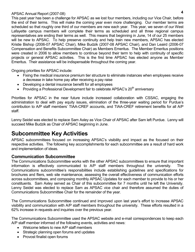This past year has been a challenge for APSAC as we lost four members, including our Vice Chair, before the end of their terms. This will make the coming year even more challenging. Our member terms are scheduled so that roughly one third of our members are new each year. This year, we seven of our West Lafayette campus members will complete their terms as scheduled and all three regional campus representatives are ending their terms as well. This means that beginning in June, 14 of our 25 members will be new to APSAC. To help preserve continuity and help train new members, APSAC has elected Kristie Bishop (2006-07 APSAC Chair), Mike Budzik (2007-08 APSAC Chair), and Dan Leaird (2006-07 Compensation and Benefits Subcommittee Chair) as Members Emeritus. The Member Emeritus positions were created in 2006 to allow members to continue beyond their term to help with continuity of specific projects or general APSAC activities. This is the first time APSAC has elected anyone as Member Emeritus. Their assistance will be indispensable throughout the coming year.

Ongoing priorities for APSAC include:

- Fixing the medical insurance premium tier structure to eliminate instances when employees receive a decrease in take home pay after receiving a pay raise
- Developing a dental insurance benefit for all employees
- Providing a Professional Development fair to celebrate APSAC's  $20<sup>th</sup>$  anniversary

Priorities for APSAC in the near future include increased collaboration with CSSAC, engaging the administration to deal with pay equity issues, elimination of the three-year waiting period for Purdue's contribution to A/P staff members' TIAA-CREF accounts, and TIAA-CREF retirement benefits for all A/P staff.

Lenny Seidel was elected to replace Sam Axley as Vice Chair of APSAC after Sam left Purdue. Lenny will succeed Mike Budzik as Chair of APSAC beginning in June.

## <span id="page-5-0"></span>**Subcommittee Key Activities**

APSAC subcommittees focused on increasing APSAC's visibility and impact as the focused on their respective activities. The following key accomplishments for each subcommittee are a result of hard work and implementation of ideas.

#### <span id="page-5-1"></span>**Communication Subcommittee**

The Communications Subcommittee works with the other APSAC subcommittees to ensure that important information is effectively communicated to A/P staff members throughout the university. Communications subcommittee's responsibilities include establishing guidelines and specifications for brochures and fliers, web site maintenance, assessing the overall effectiveness of communication efforts across subcommittees, and composing monthly APSAC Updates for each member to provide to his or her constituents. Sam Axley served as Chair of this subcommittee for 7 months until he left the University. Lenny Seidel was elected to replace Sam as APSAC vice chair and therefore assumed the duties of Communications Subcommittee Chair for the remainder of the year.

The Communications Subcommittee continued and improved upon last year's effort to increase APSAC visibility and communication with A/P staff members throughout the university. These efforts resulted in a 62% increase in requests and inquiries over the previous year.

The Communications Subcommittee used the APSAC website and e-mail correspondences to keep each A/P staff member informed of the following events, activities and news:

- Welcome letters to new A/P staff members
- Strategic planning open forums and updates
- Provost finalist open forums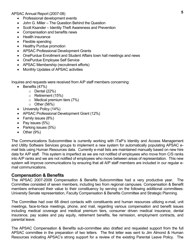- Professional development events
- John G. Miller The Question Behind the Question
- Scott Ksander Identity Theft Awareness and Prevention
- Compensation and benefits news
- Health insurance
- Flexible spending
- Healthy Purdue promotion
- APSAC Professional Development Grants
- OnePurdue Enrollment and Student Affairs town hall meetings and news
- OnePurdue Employee Self Service
- APSAC Membership (recruitment efforts)
- Monthly Updates of APSAC activities

Inquires and requests were received from A/P staff members concerning:

- $\bullet$  Benefits (47%)
	- $\circ$  Dental (22%)
	- o Retirement (15%)
	- o Medical premium tiers (7%)
	- $\circ$  Other (56%)
- University Policy (14%)
- APSAC Professional Development Grant (12%)
- Family issues (8%)
- Pay issues  $(5%)$
- Parking issues (5%)
- $\bullet$  Other (9%)

The Communications Subcommittee is currently working with ITaP's Identity and Access Management and Utility Software Services groups to implement a new system for automatically populating APSAC email lists using Human Resources data. Currently e-mail lists are maintained manually based on new hire data for A/P staff. This system is imperfect as we are not notified of employees who move from C/S ranks into A/P ranks and we are not notified of employees who move between areas of representation. This new system will improve communications by ensuring that all A/P staff members are included in our regular email communications.

#### <span id="page-6-0"></span>**Compensation & Benefits**

The APSAC 2007-2008 Compensation & Benefits Subcommittee had a very productive year. The Committee consisted of seven members, including two from regional campuses. Compensation & Benefit members enhanced their value to their constituency by serving on the following additional committees: University Senate representation, Faculty Compensation & Benefits Committee and Strategic Planning.

The Committee had over 68 direct contacts with constituents and human resources utilizing e-mail, unit meetings, face-to-face meetings, phone, and mail, regarding various compensation and benefit issues including medical coverage and medical premium tiers, consumer driven medical insurance, dental insurance, pay scales and pay equity, retirement benefits, fee remission, employment contracts, and parental leave.

The APSAC Compensation & Benefits sub-committee also drafted and requested support from the full APSAC committee in the preparation of two letters. The first letter was sent to Jim Almond & Human Resources indicating APSAC's strong support for a review of the existing Parental Leave Policy. The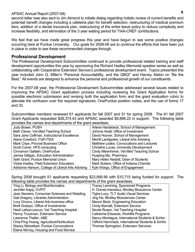second letter was also sent to Jim Almond to initiate dialog regarding holistic review of current benefits and potential benefit changes including a cafeteria plan for benefit selection, restructuring of medical premium tiers, addition of a dental insurance plan, restructuring of the entire leave policy to reduce complexity and increase flexibility, and elimination of the 3 year waiting period for TIAA-CREF contributions.

We feel that we have made great progress this year and have begun to see some positive changes occurring here at Purdue University. Our goals for 2008-09 are to continue the efforts that have been put in place in order to see these recommended changes through.

#### <span id="page-7-0"></span>**Professional Development**

The Professional Development Subcommittee continued to provide professional related training and staff development opportunities this year by sponsoring the Richard Hadley Memorial speaker series as well as collaborating with Cooperative Extension Service's professional development event. Topics presented this year included John G. Miller's "Personal Accountability, and the QBQ!" and Harvey Alston on "Be the Best." All events are designed to enhance the personal and professional growth of our constituents.

For the 2007-08 year, the Professional Development Subcommittee addressed several issues related to improving the APSAC Grant application process including reviewing the Grant Application forms for possible electronic submission and revising both the application form and the grant evaluation rubric to alleviate the confusion over the required signatures, OnePurdue position codes, and the use of forms 17 and 33.

Subcommittee members reviewed 61 applicants for fall 2007 and 51 for spring 2008. The 61 fall 2007 Grant Applicants requested \$28,374.43 and APSAC awarded \$9,896.22 in support. The following table provides the names and departments of the grant awardees.

| Judy Bower, PUSH                                  | Arlene Hardebeck, School of Management    |
|---------------------------------------------------|-------------------------------------------|
| Beth Clever, Vet Med Teaching School              | Johnna Hoalt, Office of Investment        |
| Sara Jane Coffman, Instructional Excellence       | David Hoover, School of Management        |
| Alana Crawford, ITaP-ITEA                         | Merrill Landgrebe, Liberal Arts Advising  |
| Mark Cripe, Provost Business Office               | Matthew Leake, Convocations and Lectures  |
| Scott Culver, HFS computing                       | Christine Lucas, University Development   |
| Cinnamon Gallatin, OnePurdue                      | Cindy Misenhimer, Vet Med Teaching School |
| James Gilligan, Education Administration          | Huaping Mo, Pharmacy                      |
| Seth Grant, Purdue Memorial Union                 | Mary Helen Nesbitt, Dean of Students      |
| Vickie Hadley, Field Extension Educators          | Mark Sobers, Office of Indiana Chemist    |
| Adrianne Hanson, College of Liberal Arts Advising | Kyle Wargo, Office of Engagement          |

Spring 2008 brought 51 applicants requesting \$23,566.99 with \$10,715 being funded for support. The following table provides the names and departments of the grant awardees.

| Ying Li, Biology and Bioinformatics           | <b>Tracey Lemming, Sponsored Programs</b>         |
|-----------------------------------------------|---------------------------------------------------|
| Jennifer Kapp, OVPIT                          | H. Dorota Inerowicz, Bindley Bioscience Center    |
| Jean Navarre, Consumer Sciences and Retailing | Tighe Lucy, TLT Audio Visual Services             |
| Gail Gregory, Libraries Administration        | Jing He, Bindley Biosciences Center               |
| Lucy Orozco, Liberal Arts business office     | Macon Beck, Engineering Education                 |
| Brett Gobeyn, Office of Investments           | <b>Cindy Barnett, Extension Service</b>           |
| Heidi Leitza-Lescun, Vet Teaching Hospital    | Nicole Rosen, Vet Teaching Hospital               |
| Penny Troutman, Extension Service             | Catherine Edwards, Worklife Programs              |
| Lawrence Theller, ABE                         | Nancy Montague, International Students & Schlrs   |
| Chia-Ping Huang, Agriculture/Horticulture     | Clifford Hammack, International Students & Schlrs |
| <b>Stacey Mickelbart, Purdue Convocations</b> | <b>Thomas Springstun, Extension Services</b>      |
| Elaine McVay, Housing and Food Service        |                                                   |